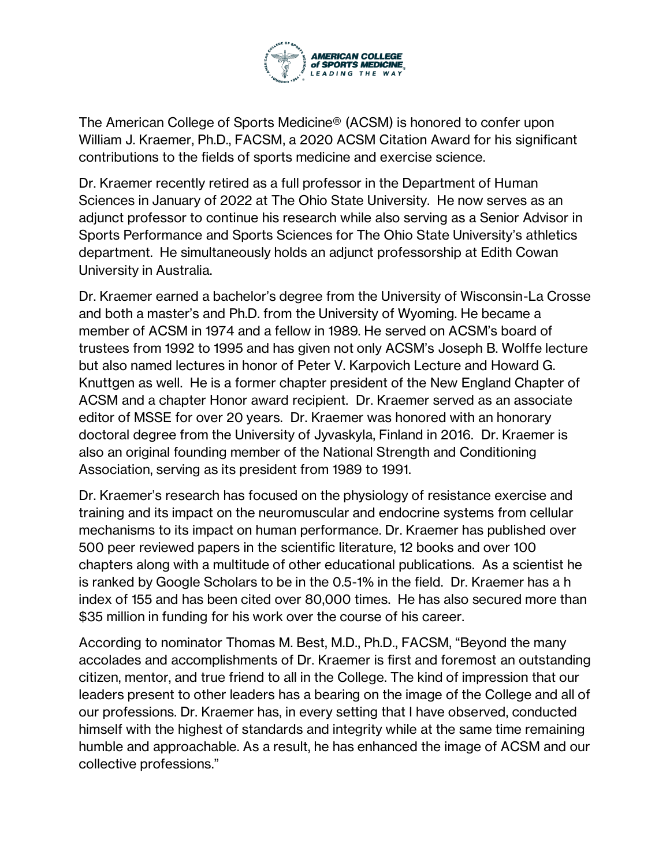

The American College of Sports Medicine® (ACSM) is honored to confer upon William J. Kraemer, Ph.D., FACSM, a 2020 ACSM Citation Award for his significant contributions to the fields of sports medicine and exercise science.

Dr. Kraemer recently retired as a full professor in the Department of Human Sciences in January of 2022 at The Ohio State University. He now serves as an adjunct professor to continue his research while also serving as a Senior Advisor in Sports Performance and Sports Sciences for The Ohio State University's athletics department. He simultaneously holds an adjunct professorship at Edith Cowan University in Australia.

Dr. Kraemer earned a bachelor's degree from the University of Wisconsin-La Crosse and both a master's and Ph.D. from the University of Wyoming. He became a member of ACSM in 1974 and a fellow in 1989. He served on ACSM's board of trustees from 1992 to 1995 and has given not only ACSM's Joseph B. Wolffe lecture but also named lectures in honor of Peter V. Karpovich Lecture and Howard G. Knuttgen as well. He is a former chapter president of the New England Chapter of ACSM and a chapter Honor award recipient. Dr. Kraemer served as an associate editor of MSSE for over 20 years. Dr. Kraemer was honored with an honorary doctoral degree from the University of Jyvaskyla, Finland in 2016. Dr. Kraemer is also an original founding member of the National Strength and Conditioning Association, serving as its president from 1989 to 1991.

Dr. Kraemer's research has focused on the physiology of resistance exercise and training and its impact on the neuromuscular and endocrine systems from cellular mechanisms to its impact on human performance. Dr. Kraemer has published over 500 peer reviewed papers in the scientific literature, 12 books and over 100 chapters along with a multitude of other educational publications. As a scientist he is ranked by Google Scholars to be in the 0.5-1% in the field. Dr. Kraemer has a h index of 155 and has been cited over 80,000 times. He has also secured more than \$35 million in funding for his work over the course of his career.

According to nominator Thomas M. Best, M.D., Ph.D., FACSM, "Beyond the many accolades and accomplishments of Dr. Kraemer is first and foremost an outstanding citizen, mentor, and true friend to all in the College. The kind of impression that our leaders present to other leaders has a bearing on the image of the College and all of our professions. Dr. Kraemer has, in every setting that I have observed, conducted himself with the highest of standards and integrity while at the same time remaining humble and approachable. As a result, he has enhanced the image of ACSM and our collective professions."